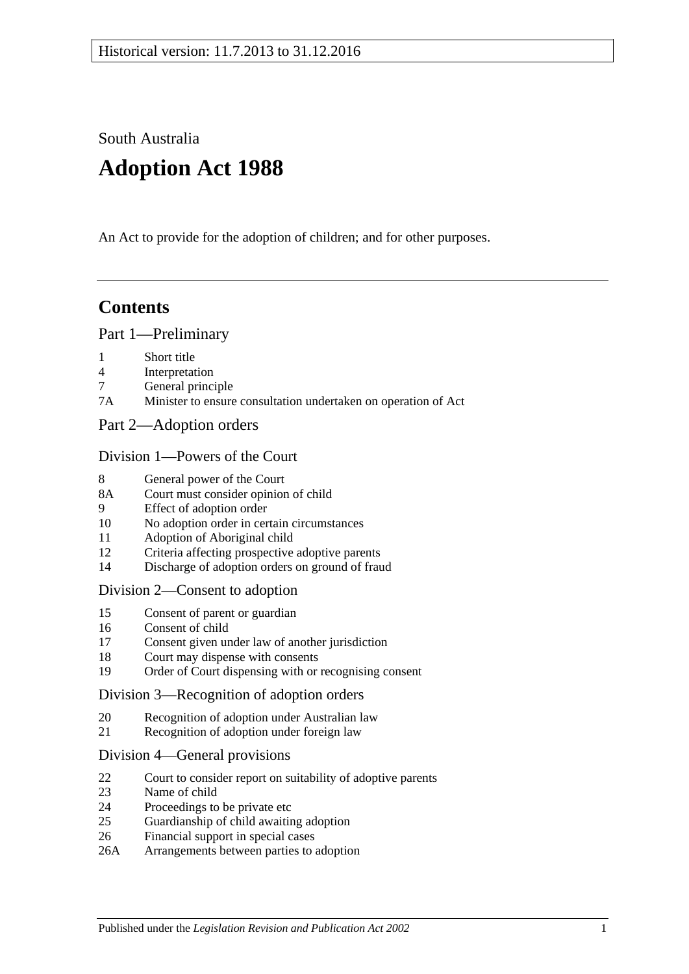South Australia

# **Adoption Act 1988**

An Act to provide for the adoption of children; and for other purposes.

# **Contents**

### [Part 1—Preliminary](#page-1-0)

- 1 [Short title](#page-1-1)
- 4 [Interpretation](#page-1-2)
- 7 [General principle](#page-3-0)
- 7A [Minister to ensure consultation undertaken on operation of Act](#page-3-1)
- [Part 2—Adoption orders](#page-3-2)

### [Division 1—Powers of the Court](#page-3-3)

- 8 [General power of the Court](#page-3-4)
- 8A [Court must consider opinion of child](#page-3-5)
- 9 [Effect of adoption order](#page-4-0)
- 10 [No adoption order in certain circumstances](#page-4-1)
- 11 [Adoption of Aboriginal child](#page-4-2)
- 12 [Criteria affecting prospective adoptive parents](#page-5-0)
- 14 [Discharge of adoption orders on ground of fraud](#page-5-1)

### [Division 2—Consent to adoption](#page-5-2)

- 15 [Consent of parent or guardian](#page-5-3)
- 16 [Consent of child](#page-6-0)
- 17 [Consent given under law of another jurisdiction](#page-7-0)
- 18 [Court may dispense with consents](#page-7-1)
- 19 [Order of Court dispensing with or recognising consent](#page-7-2)

### [Division 3—Recognition of adoption orders](#page-8-0)

- 20 [Recognition of adoption under Australian law](#page-8-1)
- 21 [Recognition of adoption under foreign law](#page-8-2)

### [Division 4—General provisions](#page-8-3)

- 22 [Court to consider report on suitability of adoptive parents](#page-8-4)
- 23 [Name of child](#page-9-0)
- 24 [Proceedings to be private etc](#page-9-1)
- 25 [Guardianship of child awaiting adoption](#page-9-2)
- 26 [Financial support in special cases](#page-10-0)
- 26A [Arrangements between parties to adoption](#page-10-1)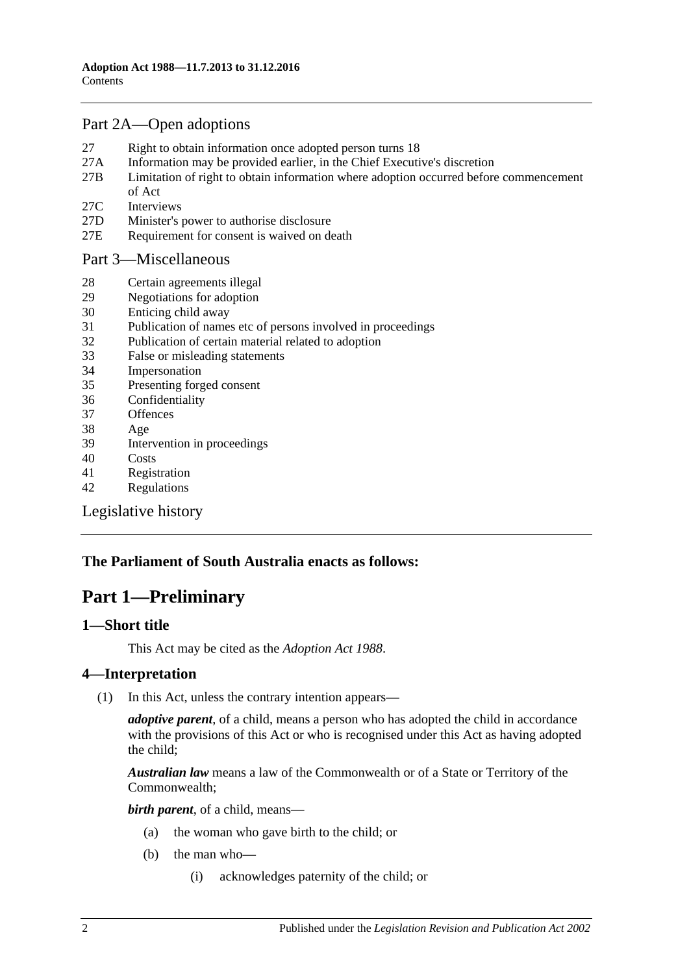# [Part 2A—Open adoptions](#page-11-0)

- 27 [Right to obtain information once adopted person turns 18](#page-11-1)
- 27A [Information may be provided earlier, in the Chief Executive's discretion](#page-12-0)
- 27B [Limitation of right to obtain information where adoption occurred before commencement](#page-12-1)  [of Act](#page-12-1)
- 27C [Interviews](#page-13-0)
- 27D [Minister's power to authorise disclosure](#page-13-1)
- 27E [Requirement for consent is waived on death](#page-13-2)

### [Part 3—Miscellaneous](#page-13-3)

- 28 [Certain agreements illegal](#page-13-4)
- 29 [Negotiations for adoption](#page-13-5)
- 30 [Enticing child away](#page-14-0)
- 31 [Publication of names etc of persons involved in proceedings](#page-14-1)
- 32 [Publication of certain material related to adoption](#page-15-0)
- 33 [False or misleading statements](#page-15-1)
- 34 [Impersonation](#page-15-2)
- 35 [Presenting forged consent](#page-15-3)
- 36 [Confidentiality](#page-15-4)
- 37 [Offences](#page-15-5)
- 38 [Age](#page-16-0)
- 39 [Intervention in proceedings](#page-16-1)
- 40 [Costs](#page-16-2)
- 41 [Registration](#page-16-3)
- 42 [Regulations](#page-17-0)

[Legislative history](#page-19-0)

# <span id="page-1-0"></span>**The Parliament of South Australia enacts as follows:**

# **Part 1—Preliminary**

### <span id="page-1-1"></span>**1—Short title**

This Act may be cited as the *Adoption Act 1988*.

### <span id="page-1-2"></span>**4—Interpretation**

(1) In this Act, unless the contrary intention appears—

*adoptive parent*, of a child, means a person who has adopted the child in accordance with the provisions of this Act or who is recognised under this Act as having adopted the child;

*Australian law* means a law of the Commonwealth or of a State or Territory of the Commonwealth;

*birth parent*, of a child, means—

- (a) the woman who gave birth to the child; or
- (b) the man who—
	- (i) acknowledges paternity of the child; or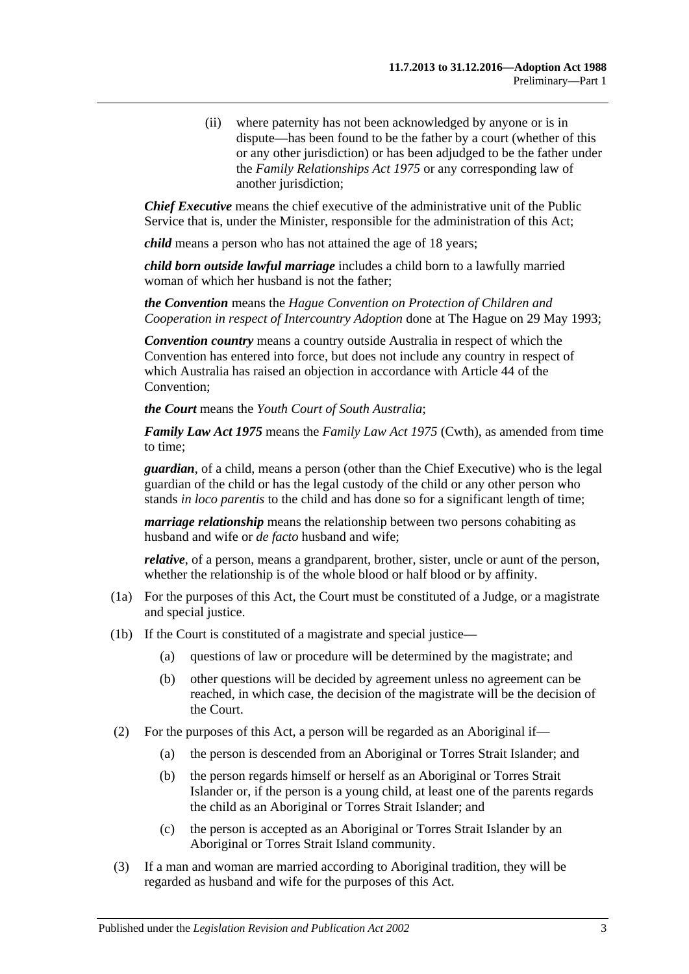(ii) where paternity has not been acknowledged by anyone or is in dispute—has been found to be the father by a court (whether of this or any other jurisdiction) or has been adjudged to be the father under the *[Family Relationships Act](http://www.legislation.sa.gov.au/index.aspx?action=legref&type=act&legtitle=Family%20Relationships%20Act%201975) 1975* or any corresponding law of another jurisdiction;

*Chief Executive* means the chief executive of the administrative unit of the Public Service that is, under the Minister, responsible for the administration of this Act;

*child* means a person who has not attained the age of 18 years;

*child born outside lawful marriage* includes a child born to a lawfully married woman of which her husband is not the father;

*the Convention* means the *Hague Convention on Protection of Children and Cooperation in respect of Intercountry Adoption* done at The Hague on 29 May 1993;

*Convention country* means a country outside Australia in respect of which the Convention has entered into force, but does not include any country in respect of which Australia has raised an objection in accordance with Article 44 of the Convention;

*the Court* means the *Youth Court of South Australia*;

*Family Law Act 1975* means the *Family Law Act 1975* (Cwth), as amended from time to time;

*guardian*, of a child, means a person (other than the Chief Executive) who is the legal guardian of the child or has the legal custody of the child or any other person who stands *in loco parentis* to the child and has done so for a significant length of time;

*marriage relationship* means the relationship between two persons cohabiting as husband and wife or *de facto* husband and wife;

*relative*, of a person, means a grandparent, brother, sister, uncle or aunt of the person, whether the relationship is of the whole blood or half blood or by affinity.

- (1a) For the purposes of this Act, the Court must be constituted of a Judge, or a magistrate and special justice.
- (1b) If the Court is constituted of a magistrate and special justice—
	- (a) questions of law or procedure will be determined by the magistrate; and
	- (b) other questions will be decided by agreement unless no agreement can be reached, in which case, the decision of the magistrate will be the decision of the Court.
- (2) For the purposes of this Act, a person will be regarded as an Aboriginal if—
	- (a) the person is descended from an Aboriginal or Torres Strait Islander; and
	- (b) the person regards himself or herself as an Aboriginal or Torres Strait Islander or, if the person is a young child, at least one of the parents regards the child as an Aboriginal or Torres Strait Islander; and
	- (c) the person is accepted as an Aboriginal or Torres Strait Islander by an Aboriginal or Torres Strait Island community.
- (3) If a man and woman are married according to Aboriginal tradition, they will be regarded as husband and wife for the purposes of this Act.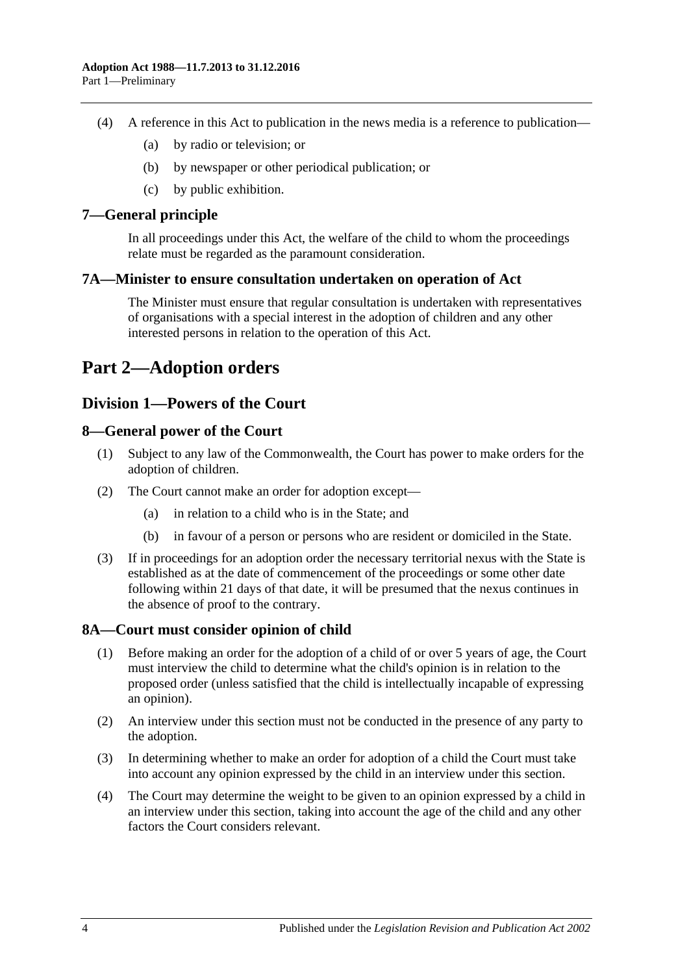- (4) A reference in this Act to publication in the news media is a reference to publication—
	- (a) by radio or television; or
	- (b) by newspaper or other periodical publication; or
	- (c) by public exhibition.

### <span id="page-3-0"></span>**7—General principle**

In all proceedings under this Act, the welfare of the child to whom the proceedings relate must be regarded as the paramount consideration.

### <span id="page-3-1"></span>**7A—Minister to ensure consultation undertaken on operation of Act**

The Minister must ensure that regular consultation is undertaken with representatives of organisations with a special interest in the adoption of children and any other interested persons in relation to the operation of this Act.

# <span id="page-3-2"></span>**Part 2—Adoption orders**

# <span id="page-3-3"></span>**Division 1—Powers of the Court**

### <span id="page-3-4"></span>**8—General power of the Court**

- (1) Subject to any law of the Commonwealth, the Court has power to make orders for the adoption of children.
- (2) The Court cannot make an order for adoption except—
	- (a) in relation to a child who is in the State; and
	- (b) in favour of a person or persons who are resident or domiciled in the State.
- (3) If in proceedings for an adoption order the necessary territorial nexus with the State is established as at the date of commencement of the proceedings or some other date following within 21 days of that date, it will be presumed that the nexus continues in the absence of proof to the contrary.

### <span id="page-3-5"></span>**8A—Court must consider opinion of child**

- (1) Before making an order for the adoption of a child of or over 5 years of age, the Court must interview the child to determine what the child's opinion is in relation to the proposed order (unless satisfied that the child is intellectually incapable of expressing an opinion).
- (2) An interview under this section must not be conducted in the presence of any party to the adoption.
- (3) In determining whether to make an order for adoption of a child the Court must take into account any opinion expressed by the child in an interview under this section.
- (4) The Court may determine the weight to be given to an opinion expressed by a child in an interview under this section, taking into account the age of the child and any other factors the Court considers relevant.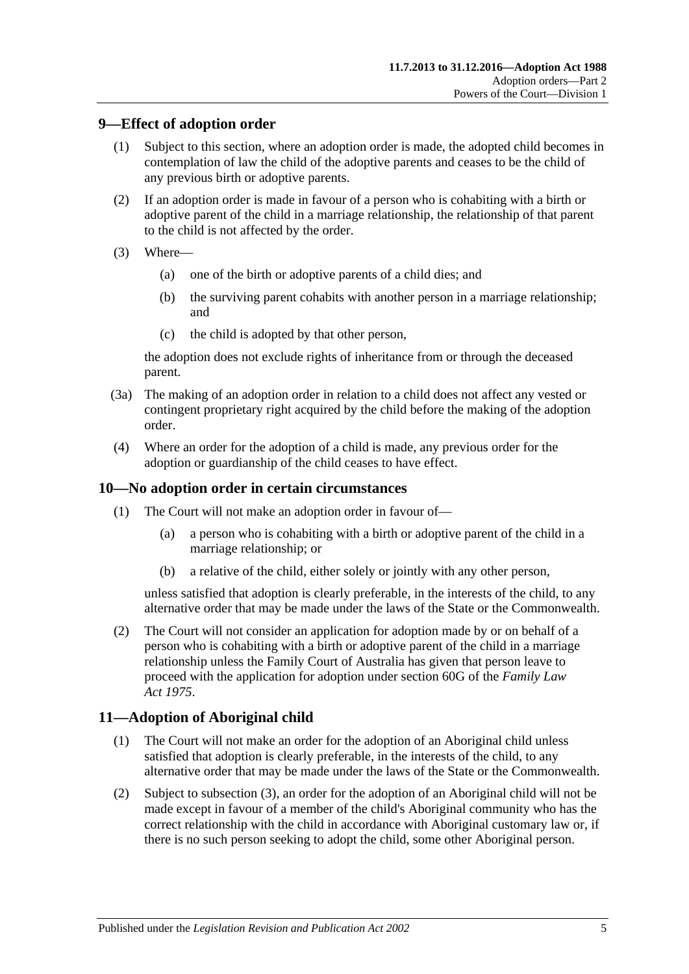## <span id="page-4-0"></span>**9—Effect of adoption order**

- (1) Subject to this section, where an adoption order is made, the adopted child becomes in contemplation of law the child of the adoptive parents and ceases to be the child of any previous birth or adoptive parents.
- (2) If an adoption order is made in favour of a person who is cohabiting with a birth or adoptive parent of the child in a marriage relationship, the relationship of that parent to the child is not affected by the order.
- (3) Where—
	- (a) one of the birth or adoptive parents of a child dies; and
	- (b) the surviving parent cohabits with another person in a marriage relationship; and
	- (c) the child is adopted by that other person,

the adoption does not exclude rights of inheritance from or through the deceased parent.

- (3a) The making of an adoption order in relation to a child does not affect any vested or contingent proprietary right acquired by the child before the making of the adoption order.
- (4) Where an order for the adoption of a child is made, any previous order for the adoption or guardianship of the child ceases to have effect.

### <span id="page-4-1"></span>**10—No adoption order in certain circumstances**

- (1) The Court will not make an adoption order in favour of—
	- (a) a person who is cohabiting with a birth or adoptive parent of the child in a marriage relationship; or
	- (b) a relative of the child, either solely or jointly with any other person,

unless satisfied that adoption is clearly preferable, in the interests of the child, to any alternative order that may be made under the laws of the State or the Commonwealth.

(2) The Court will not consider an application for adoption made by or on behalf of a person who is cohabiting with a birth or adoptive parent of the child in a marriage relationship unless the Family Court of Australia has given that person leave to proceed with the application for adoption under section 60G of the *Family Law Act 1975*.

# <span id="page-4-2"></span>**11—Adoption of Aboriginal child**

- (1) The Court will not make an order for the adoption of an Aboriginal child unless satisfied that adoption is clearly preferable, in the interests of the child, to any alternative order that may be made under the laws of the State or the Commonwealth.
- (2) Subject to [subsection](#page-5-4) (3), an order for the adoption of an Aboriginal child will not be made except in favour of a member of the child's Aboriginal community who has the correct relationship with the child in accordance with Aboriginal customary law or, if there is no such person seeking to adopt the child, some other Aboriginal person.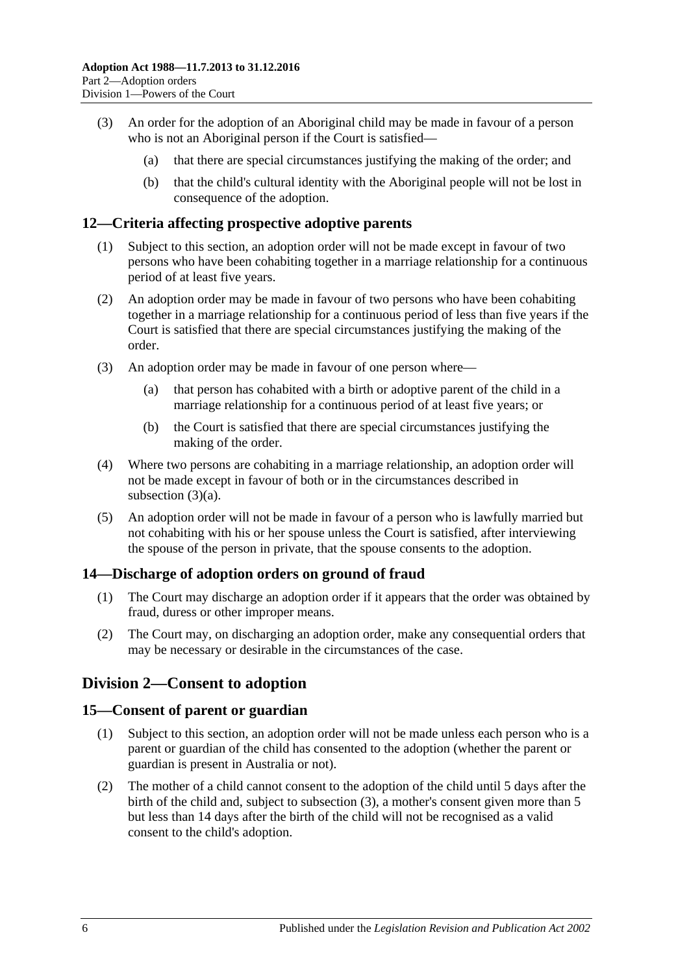- <span id="page-5-4"></span>(3) An order for the adoption of an Aboriginal child may be made in favour of a person who is not an Aboriginal person if the Court is satisfied—
	- (a) that there are special circumstances justifying the making of the order; and
	- (b) that the child's cultural identity with the Aboriginal people will not be lost in consequence of the adoption.

### <span id="page-5-0"></span>**12—Criteria affecting prospective adoptive parents**

- (1) Subject to this section, an adoption order will not be made except in favour of two persons who have been cohabiting together in a marriage relationship for a continuous period of at least five years.
- (2) An adoption order may be made in favour of two persons who have been cohabiting together in a marriage relationship for a continuous period of less than five years if the Court is satisfied that there are special circumstances justifying the making of the order.
- <span id="page-5-5"></span>(3) An adoption order may be made in favour of one person where—
	- (a) that person has cohabited with a birth or adoptive parent of the child in a marriage relationship for a continuous period of at least five years; or
	- (b) the Court is satisfied that there are special circumstances justifying the making of the order.
- (4) Where two persons are cohabiting in a marriage relationship, an adoption order will not be made except in favour of both or in the circumstances described in [subsection](#page-5-5) (3)(a).
- (5) An adoption order will not be made in favour of a person who is lawfully married but not cohabiting with his or her spouse unless the Court is satisfied, after interviewing the spouse of the person in private, that the spouse consents to the adoption.

### <span id="page-5-1"></span>**14—Discharge of adoption orders on ground of fraud**

- (1) The Court may discharge an adoption order if it appears that the order was obtained by fraud, duress or other improper means.
- (2) The Court may, on discharging an adoption order, make any consequential orders that may be necessary or desirable in the circumstances of the case.

# <span id="page-5-2"></span>**Division 2—Consent to adoption**

### <span id="page-5-3"></span>**15—Consent of parent or guardian**

- (1) Subject to this section, an adoption order will not be made unless each person who is a parent or guardian of the child has consented to the adoption (whether the parent or guardian is present in Australia or not).
- (2) The mother of a child cannot consent to the adoption of the child until 5 days after the birth of the child and, subject to [subsection](#page-6-1) (3), a mother's consent given more than 5 but less than 14 days after the birth of the child will not be recognised as a valid consent to the child's adoption.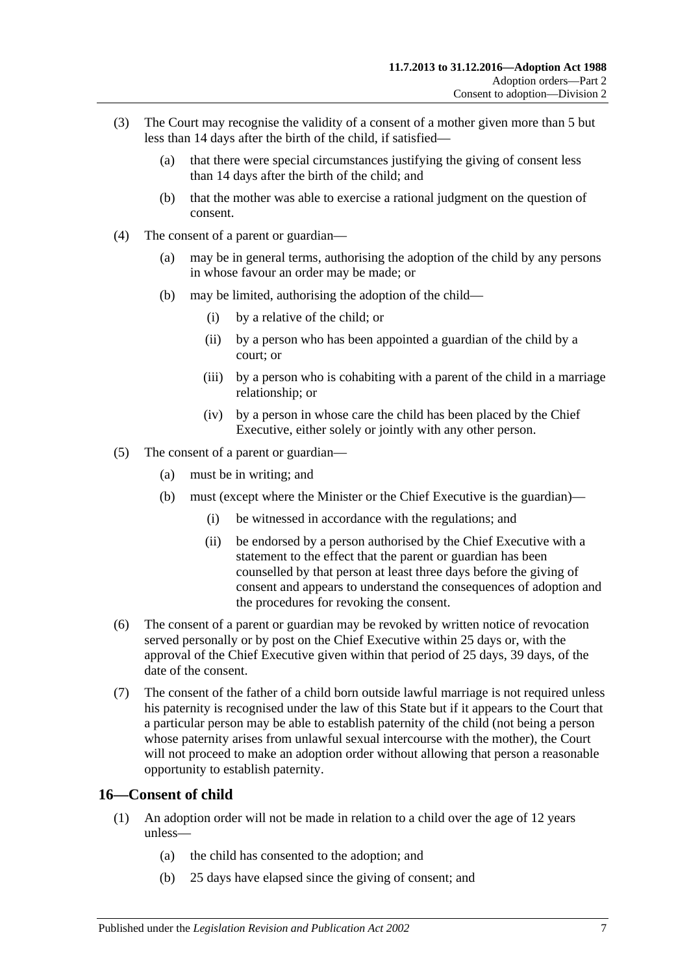- <span id="page-6-1"></span>(3) The Court may recognise the validity of a consent of a mother given more than 5 but less than 14 days after the birth of the child, if satisfied—
	- (a) that there were special circumstances justifying the giving of consent less than 14 days after the birth of the child; and
	- (b) that the mother was able to exercise a rational judgment on the question of consent.
- (4) The consent of a parent or guardian—
	- (a) may be in general terms, authorising the adoption of the child by any persons in whose favour an order may be made; or
	- (b) may be limited, authorising the adoption of the child—
		- (i) by a relative of the child; or
		- (ii) by a person who has been appointed a guardian of the child by a court; or
		- (iii) by a person who is cohabiting with a parent of the child in a marriage relationship; or
		- (iv) by a person in whose care the child has been placed by the Chief Executive, either solely or jointly with any other person.
- (5) The consent of a parent or guardian—
	- (a) must be in writing; and
	- (b) must (except where the Minister or the Chief Executive is the guardian)—
		- (i) be witnessed in accordance with the regulations; and
		- (ii) be endorsed by a person authorised by the Chief Executive with a statement to the effect that the parent or guardian has been counselled by that person at least three days before the giving of consent and appears to understand the consequences of adoption and the procedures for revoking the consent.
- (6) The consent of a parent or guardian may be revoked by written notice of revocation served personally or by post on the Chief Executive within 25 days or, with the approval of the Chief Executive given within that period of 25 days, 39 days, of the date of the consent.
- (7) The consent of the father of a child born outside lawful marriage is not required unless his paternity is recognised under the law of this State but if it appears to the Court that a particular person may be able to establish paternity of the child (not being a person whose paternity arises from unlawful sexual intercourse with the mother), the Court will not proceed to make an adoption order without allowing that person a reasonable opportunity to establish paternity.

### <span id="page-6-0"></span>**16—Consent of child**

- (1) An adoption order will not be made in relation to a child over the age of 12 years unless—
	- (a) the child has consented to the adoption; and
	- (b) 25 days have elapsed since the giving of consent; and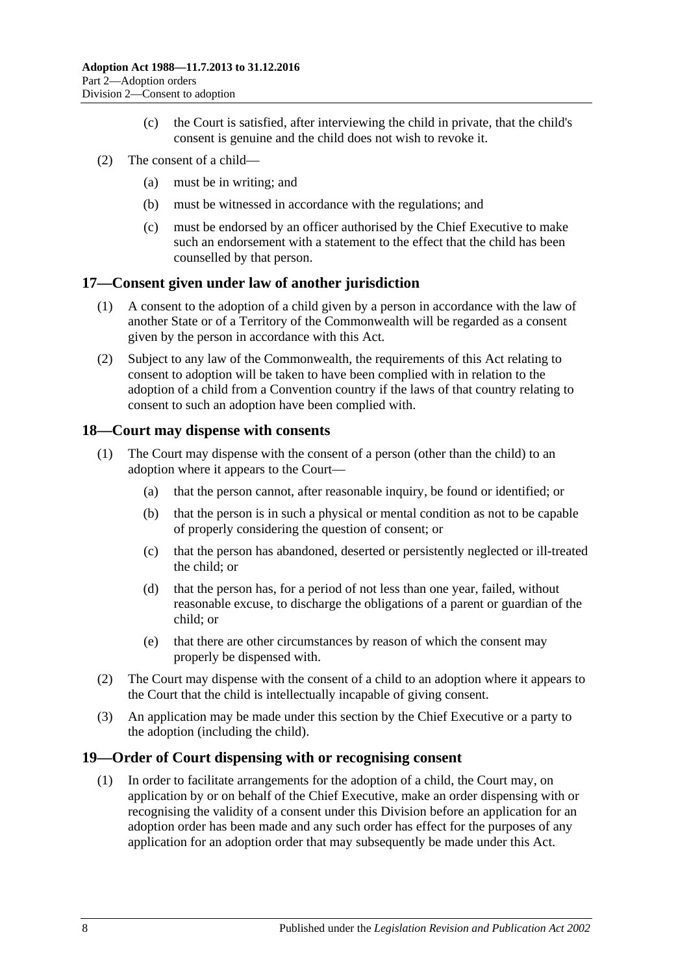- (c) the Court is satisfied, after interviewing the child in private, that the child's consent is genuine and the child does not wish to revoke it.
- (2) The consent of a child—
	- (a) must be in writing; and
	- (b) must be witnessed in accordance with the regulations; and
	- (c) must be endorsed by an officer authorised by the Chief Executive to make such an endorsement with a statement to the effect that the child has been counselled by that person.

### <span id="page-7-0"></span>**17—Consent given under law of another jurisdiction**

- (1) A consent to the adoption of a child given by a person in accordance with the law of another State or of a Territory of the Commonwealth will be regarded as a consent given by the person in accordance with this Act.
- (2) Subject to any law of the Commonwealth, the requirements of this Act relating to consent to adoption will be taken to have been complied with in relation to the adoption of a child from a Convention country if the laws of that country relating to consent to such an adoption have been complied with.

### <span id="page-7-1"></span>**18—Court may dispense with consents**

- (1) The Court may dispense with the consent of a person (other than the child) to an adoption where it appears to the Court—
	- (a) that the person cannot, after reasonable inquiry, be found or identified; or
	- (b) that the person is in such a physical or mental condition as not to be capable of properly considering the question of consent; or
	- (c) that the person has abandoned, deserted or persistently neglected or ill-treated the child; or
	- (d) that the person has, for a period of not less than one year, failed, without reasonable excuse, to discharge the obligations of a parent or guardian of the child; or
	- (e) that there are other circumstances by reason of which the consent may properly be dispensed with.
- (2) The Court may dispense with the consent of a child to an adoption where it appears to the Court that the child is intellectually incapable of giving consent.
- (3) An application may be made under this section by the Chief Executive or a party to the adoption (including the child).

### <span id="page-7-3"></span><span id="page-7-2"></span>**19—Order of Court dispensing with or recognising consent**

(1) In order to facilitate arrangements for the adoption of a child, the Court may, on application by or on behalf of the Chief Executive, make an order dispensing with or recognising the validity of a consent under this Division before an application for an adoption order has been made and any such order has effect for the purposes of any application for an adoption order that may subsequently be made under this Act.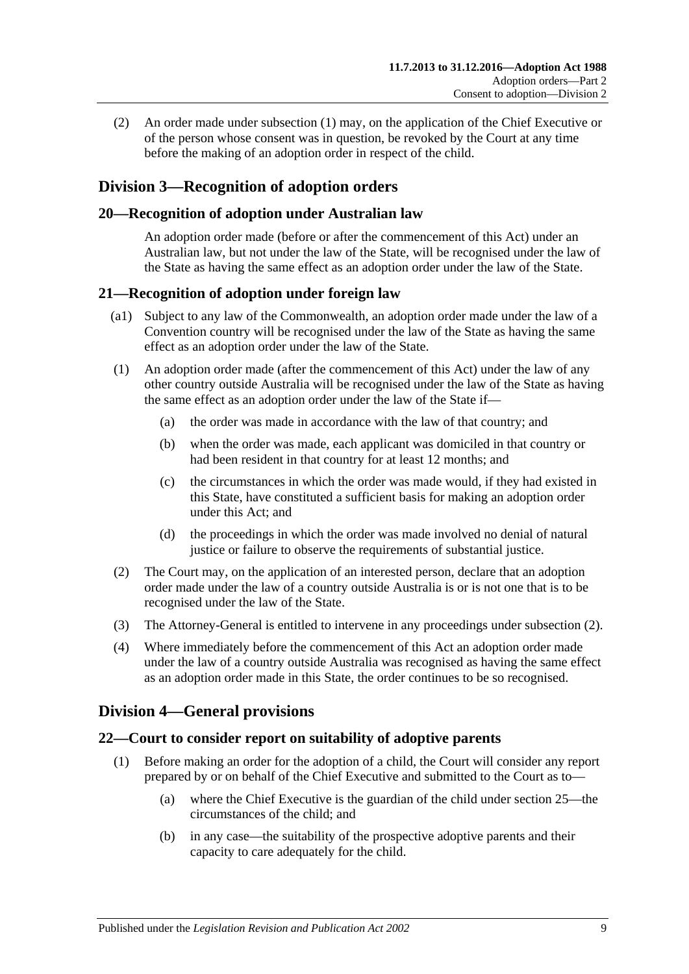(2) An order made under [subsection](#page-7-3) (1) may, on the application of the Chief Executive or of the person whose consent was in question, be revoked by the Court at any time before the making of an adoption order in respect of the child.

# <span id="page-8-0"></span>**Division 3—Recognition of adoption orders**

## <span id="page-8-1"></span>**20—Recognition of adoption under Australian law**

An adoption order made (before or after the commencement of this Act) under an Australian law, but not under the law of the State, will be recognised under the law of the State as having the same effect as an adoption order under the law of the State.

### <span id="page-8-2"></span>**21—Recognition of adoption under foreign law**

- (a1) Subject to any law of the Commonwealth, an adoption order made under the law of a Convention country will be recognised under the law of the State as having the same effect as an adoption order under the law of the State.
- (1) An adoption order made (after the commencement of this Act) under the law of any other country outside Australia will be recognised under the law of the State as having the same effect as an adoption order under the law of the State if—
	- (a) the order was made in accordance with the law of that country; and
	- (b) when the order was made, each applicant was domiciled in that country or had been resident in that country for at least 12 months; and
	- (c) the circumstances in which the order was made would, if they had existed in this State, have constituted a sufficient basis for making an adoption order under this Act; and
	- (d) the proceedings in which the order was made involved no denial of natural justice or failure to observe the requirements of substantial justice.
- <span id="page-8-5"></span>(2) The Court may, on the application of an interested person, declare that an adoption order made under the law of a country outside Australia is or is not one that is to be recognised under the law of the State.
- (3) The Attorney-General is entitled to intervene in any proceedings under [subsection](#page-8-5) (2).
- (4) Where immediately before the commencement of this Act an adoption order made under the law of a country outside Australia was recognised as having the same effect as an adoption order made in this State, the order continues to be so recognised.

# <span id="page-8-3"></span>**Division 4—General provisions**

# <span id="page-8-6"></span><span id="page-8-4"></span>**22—Court to consider report on suitability of adoptive parents**

- (1) Before making an order for the adoption of a child, the Court will consider any report prepared by or on behalf of the Chief Executive and submitted to the Court as to—
	- (a) where the Chief Executive is the guardian of the child under [section](#page-9-2) 25—the circumstances of the child; and
	- (b) in any case—the suitability of the prospective adoptive parents and their capacity to care adequately for the child.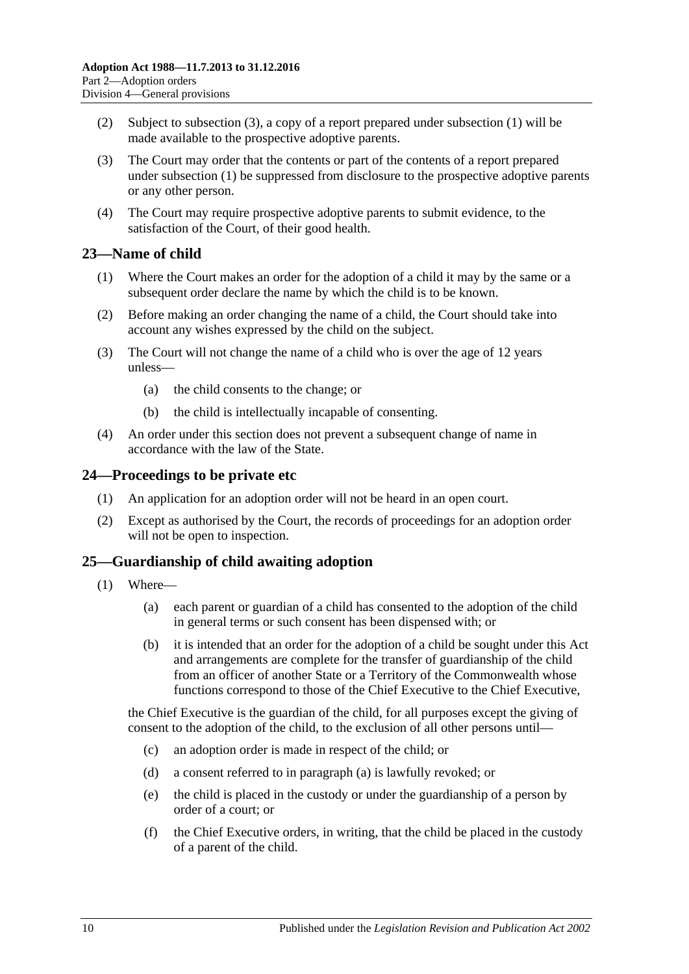- (2) Subject to [subsection](#page-9-3) (3), a copy of a report prepared under [subsection](#page-8-6) (1) will be made available to the prospective adoptive parents.
- <span id="page-9-3"></span>(3) The Court may order that the contents or part of the contents of a report prepared under [subsection](#page-8-6) (1) be suppressed from disclosure to the prospective adoptive parents or any other person.
- (4) The Court may require prospective adoptive parents to submit evidence, to the satisfaction of the Court, of their good health.

## <span id="page-9-0"></span>**23—Name of child**

- (1) Where the Court makes an order for the adoption of a child it may by the same or a subsequent order declare the name by which the child is to be known.
- (2) Before making an order changing the name of a child, the Court should take into account any wishes expressed by the child on the subject.
- (3) The Court will not change the name of a child who is over the age of 12 years unless—
	- (a) the child consents to the change; or
	- (b) the child is intellectually incapable of consenting.
- (4) An order under this section does not prevent a subsequent change of name in accordance with the law of the State.

### <span id="page-9-1"></span>**24—Proceedings to be private etc**

- (1) An application for an adoption order will not be heard in an open court.
- (2) Except as authorised by the Court, the records of proceedings for an adoption order will not be open to inspection.

### <span id="page-9-2"></span>**25—Guardianship of child awaiting adoption**

- <span id="page-9-4"></span>(1) Where—
	- (a) each parent or guardian of a child has consented to the adoption of the child in general terms or such consent has been dispensed with; or
	- (b) it is intended that an order for the adoption of a child be sought under this Act and arrangements are complete for the transfer of guardianship of the child from an officer of another State or a Territory of the Commonwealth whose functions correspond to those of the Chief Executive to the Chief Executive,

the Chief Executive is the guardian of the child, for all purposes except the giving of consent to the adoption of the child, to the exclusion of all other persons until—

- (c) an adoption order is made in respect of the child; or
- (d) a consent referred to in [paragraph](#page-9-4) (a) is lawfully revoked; or
- (e) the child is placed in the custody or under the guardianship of a person by order of a court; or
- (f) the Chief Executive orders, in writing, that the child be placed in the custody of a parent of the child.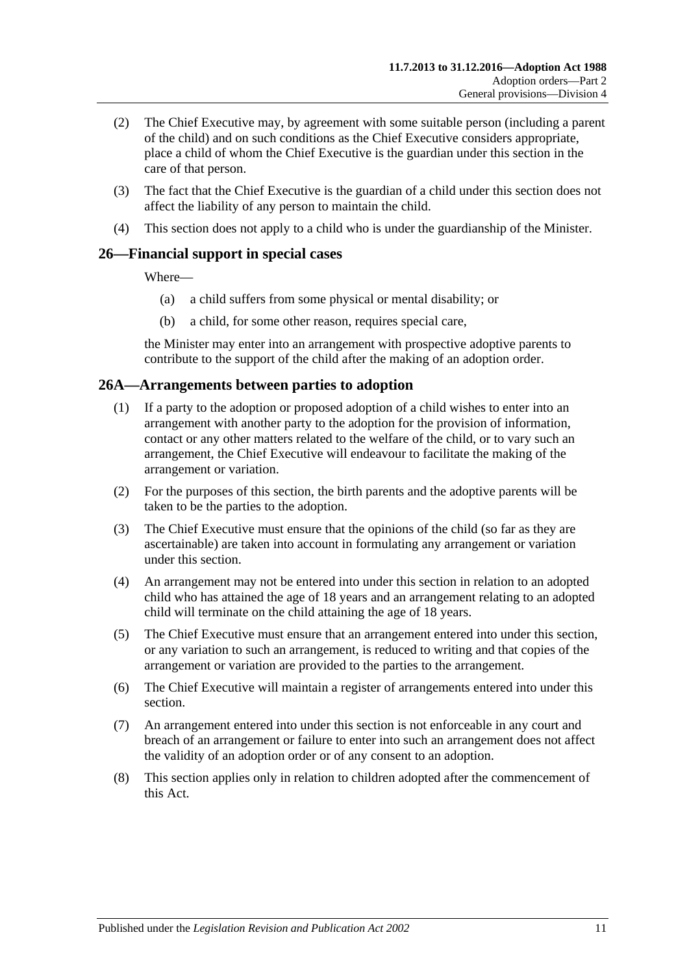- (2) The Chief Executive may, by agreement with some suitable person (including a parent of the child) and on such conditions as the Chief Executive considers appropriate, place a child of whom the Chief Executive is the guardian under this section in the care of that person.
- (3) The fact that the Chief Executive is the guardian of a child under this section does not affect the liability of any person to maintain the child.
- (4) This section does not apply to a child who is under the guardianship of the Minister.

# <span id="page-10-0"></span>**26—Financial support in special cases**

Where—

- (a) a child suffers from some physical or mental disability; or
- (b) a child, for some other reason, requires special care,

the Minister may enter into an arrangement with prospective adoptive parents to contribute to the support of the child after the making of an adoption order.

### <span id="page-10-1"></span>**26A—Arrangements between parties to adoption**

- (1) If a party to the adoption or proposed adoption of a child wishes to enter into an arrangement with another party to the adoption for the provision of information, contact or any other matters related to the welfare of the child, or to vary such an arrangement, the Chief Executive will endeavour to facilitate the making of the arrangement or variation.
- (2) For the purposes of this section, the birth parents and the adoptive parents will be taken to be the parties to the adoption.
- (3) The Chief Executive must ensure that the opinions of the child (so far as they are ascertainable) are taken into account in formulating any arrangement or variation under this section.
- (4) An arrangement may not be entered into under this section in relation to an adopted child who has attained the age of 18 years and an arrangement relating to an adopted child will terminate on the child attaining the age of 18 years.
- (5) The Chief Executive must ensure that an arrangement entered into under this section, or any variation to such an arrangement, is reduced to writing and that copies of the arrangement or variation are provided to the parties to the arrangement.
- (6) The Chief Executive will maintain a register of arrangements entered into under this section.
- (7) An arrangement entered into under this section is not enforceable in any court and breach of an arrangement or failure to enter into such an arrangement does not affect the validity of an adoption order or of any consent to an adoption.
- (8) This section applies only in relation to children adopted after the commencement of this Act.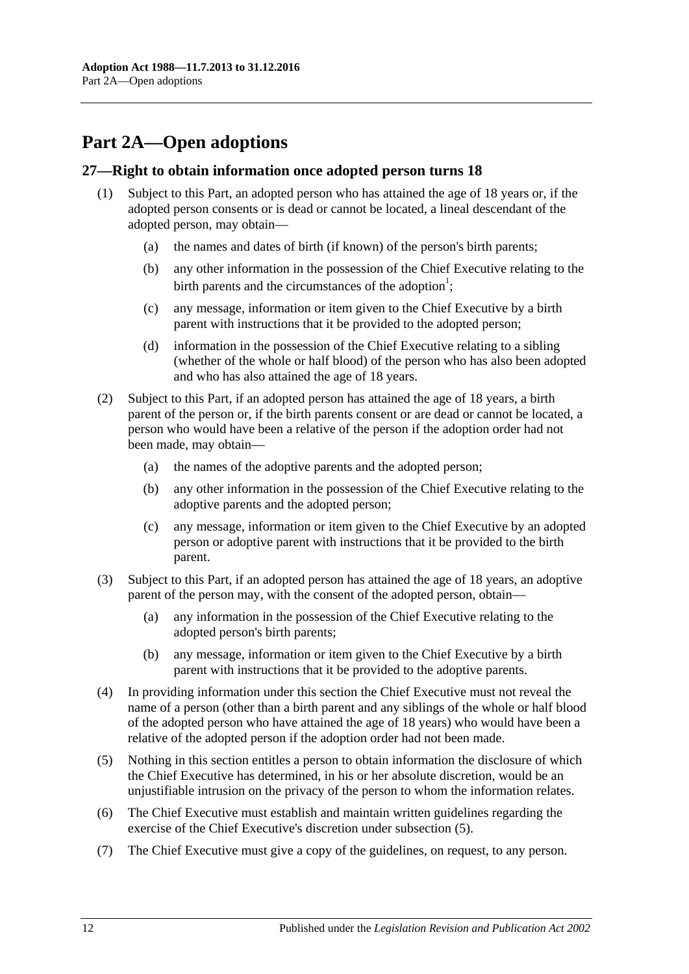# <span id="page-11-0"></span>**Part 2A—Open adoptions**

### <span id="page-11-1"></span>**27—Right to obtain information once adopted person turns 18**

- (1) Subject to this Part, an adopted person who has attained the age of 18 years or, if the adopted person consents or is dead or cannot be located, a lineal descendant of the adopted person, may obtain—
	- (a) the names and dates of birth (if known) of the person's birth parents;
	- (b) any other information in the possession of the Chief Executive relating to the birth parents and the circumstances of the adoption<sup>1</sup>;
	- (c) any message, information or item given to the Chief Executive by a birth parent with instructions that it be provided to the adopted person;
	- (d) information in the possession of the Chief Executive relating to a sibling (whether of the whole or half blood) of the person who has also been adopted and who has also attained the age of 18 years.
- (2) Subject to this Part, if an adopted person has attained the age of 18 years, a birth parent of the person or, if the birth parents consent or are dead or cannot be located, a person who would have been a relative of the person if the adoption order had not been made, may obtain—
	- (a) the names of the adoptive parents and the adopted person;
	- (b) any other information in the possession of the Chief Executive relating to the adoptive parents and the adopted person;
	- (c) any message, information or item given to the Chief Executive by an adopted person or adoptive parent with instructions that it be provided to the birth parent.
- (3) Subject to this Part, if an adopted person has attained the age of 18 years, an adoptive parent of the person may, with the consent of the adopted person, obtain—
	- (a) any information in the possession of the Chief Executive relating to the adopted person's birth parents;
	- (b) any message, information or item given to the Chief Executive by a birth parent with instructions that it be provided to the adoptive parents.
- (4) In providing information under this section the Chief Executive must not reveal the name of a person (other than a birth parent and any siblings of the whole or half blood of the adopted person who have attained the age of 18 years) who would have been a relative of the adopted person if the adoption order had not been made.
- <span id="page-11-2"></span>(5) Nothing in this section entitles a person to obtain information the disclosure of which the Chief Executive has determined, in his or her absolute discretion, would be an unjustifiable intrusion on the privacy of the person to whom the information relates.
- (6) The Chief Executive must establish and maintain written guidelines regarding the exercise of the Chief Executive's discretion under [subsection](#page-11-2) (5).
- (7) The Chief Executive must give a copy of the guidelines, on request, to any person.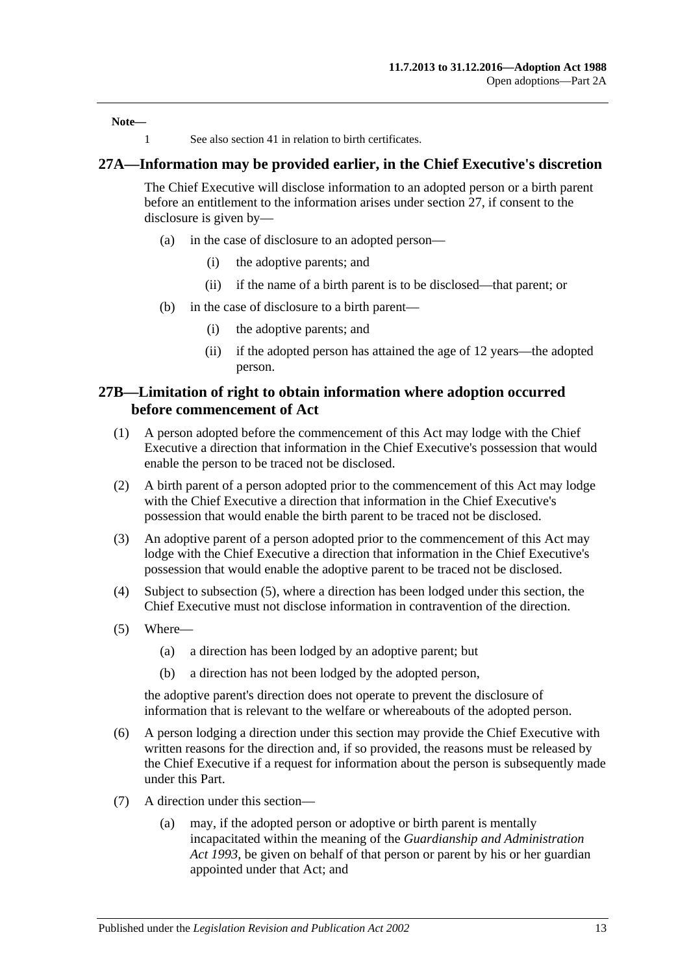**Note—**

1 See also [section](#page-16-3) 41 in relation to birth certificates.

### <span id="page-12-0"></span>**27A—Information may be provided earlier, in the Chief Executive's discretion**

The Chief Executive will disclose information to an adopted person or a birth parent before an entitlement to the information arises under [section](#page-11-1) 27, if consent to the disclosure is given by—

- (a) in the case of disclosure to an adopted person—
	- (i) the adoptive parents; and
	- (ii) if the name of a birth parent is to be disclosed—that parent; or
- (b) in the case of disclosure to a birth parent—
	- (i) the adoptive parents; and
	- (ii) if the adopted person has attained the age of 12 years—the adopted person.

### <span id="page-12-1"></span>**27B—Limitation of right to obtain information where adoption occurred before commencement of Act**

- (1) A person adopted before the commencement of this Act may lodge with the Chief Executive a direction that information in the Chief Executive's possession that would enable the person to be traced not be disclosed.
- (2) A birth parent of a person adopted prior to the commencement of this Act may lodge with the Chief Executive a direction that information in the Chief Executive's possession that would enable the birth parent to be traced not be disclosed.
- (3) An adoptive parent of a person adopted prior to the commencement of this Act may lodge with the Chief Executive a direction that information in the Chief Executive's possession that would enable the adoptive parent to be traced not be disclosed.
- (4) Subject to [subsection](#page-12-2) (5), where a direction has been lodged under this section, the Chief Executive must not disclose information in contravention of the direction.
- <span id="page-12-2"></span>(5) Where—
	- (a) a direction has been lodged by an adoptive parent; but
	- (b) a direction has not been lodged by the adopted person,

the adoptive parent's direction does not operate to prevent the disclosure of information that is relevant to the welfare or whereabouts of the adopted person.

- (6) A person lodging a direction under this section may provide the Chief Executive with written reasons for the direction and, if so provided, the reasons must be released by the Chief Executive if a request for information about the person is subsequently made under this Part.
- (7) A direction under this section—
	- (a) may, if the adopted person or adoptive or birth parent is mentally incapacitated within the meaning of the *[Guardianship and Administration](http://www.legislation.sa.gov.au/index.aspx?action=legref&type=act&legtitle=Guardianship%20and%20Administration%20Act%201993)  Act [1993](http://www.legislation.sa.gov.au/index.aspx?action=legref&type=act&legtitle=Guardianship%20and%20Administration%20Act%201993)*, be given on behalf of that person or parent by his or her guardian appointed under that Act; and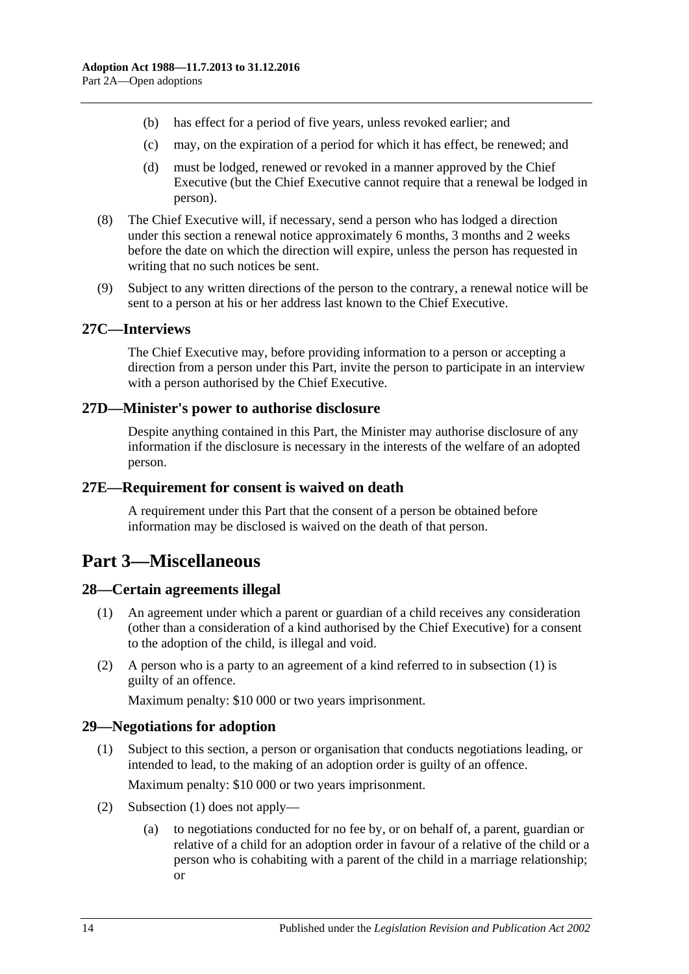- (b) has effect for a period of five years, unless revoked earlier; and
- (c) may, on the expiration of a period for which it has effect, be renewed; and
- (d) must be lodged, renewed or revoked in a manner approved by the Chief Executive (but the Chief Executive cannot require that a renewal be lodged in person).
- (8) The Chief Executive will, if necessary, send a person who has lodged a direction under this section a renewal notice approximately 6 months, 3 months and 2 weeks before the date on which the direction will expire, unless the person has requested in writing that no such notices be sent.
- (9) Subject to any written directions of the person to the contrary, a renewal notice will be sent to a person at his or her address last known to the Chief Executive.

### <span id="page-13-0"></span>**27C—Interviews**

The Chief Executive may, before providing information to a person or accepting a direction from a person under this Part, invite the person to participate in an interview with a person authorised by the Chief Executive.

### <span id="page-13-1"></span>**27D—Minister's power to authorise disclosure**

Despite anything contained in this Part, the Minister may authorise disclosure of any information if the disclosure is necessary in the interests of the welfare of an adopted person.

### <span id="page-13-2"></span>**27E—Requirement for consent is waived on death**

A requirement under this Part that the consent of a person be obtained before information may be disclosed is waived on the death of that person.

# <span id="page-13-3"></span>**Part 3—Miscellaneous**

### <span id="page-13-6"></span><span id="page-13-4"></span>**28—Certain agreements illegal**

- (1) An agreement under which a parent or guardian of a child receives any consideration (other than a consideration of a kind authorised by the Chief Executive) for a consent to the adoption of the child, is illegal and void.
- (2) A person who is a party to an agreement of a kind referred to in [subsection](#page-13-6) (1) is guilty of an offence.

Maximum penalty: \$10 000 or two years imprisonment.

### <span id="page-13-7"></span><span id="page-13-5"></span>**29—Negotiations for adoption**

- (1) Subject to this section, a person or organisation that conducts negotiations leading, or intended to lead, to the making of an adoption order is guilty of an offence. Maximum penalty: \$10 000 or two years imprisonment.
- (2) [Subsection](#page-13-7) (1) does not apply—
	- (a) to negotiations conducted for no fee by, or on behalf of, a parent, guardian or relative of a child for an adoption order in favour of a relative of the child or a person who is cohabiting with a parent of the child in a marriage relationship; or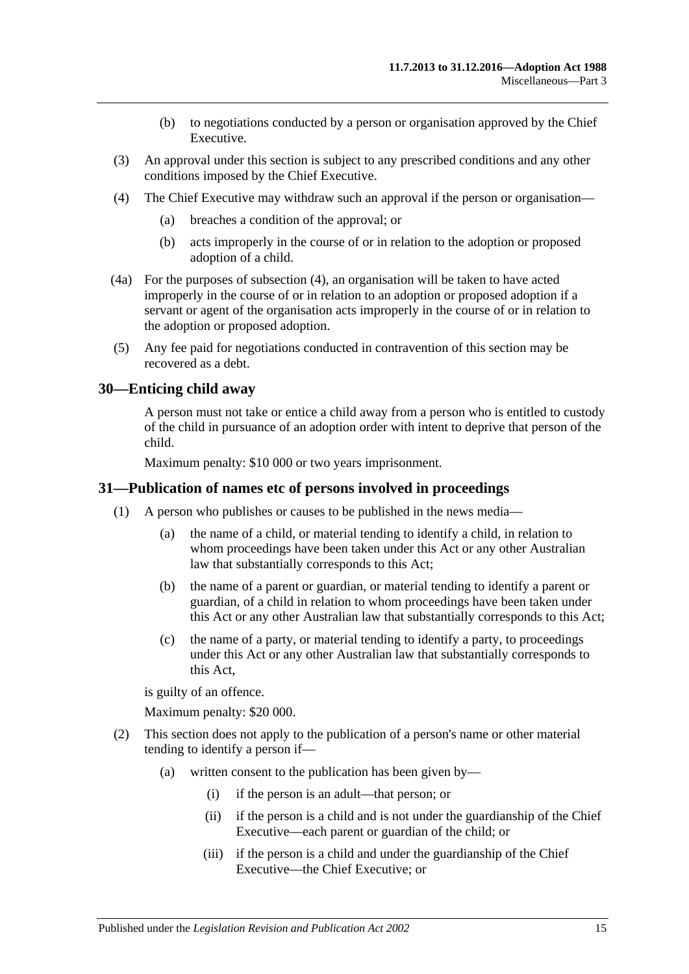- (b) to negotiations conducted by a person or organisation approved by the Chief Executive.
- (3) An approval under this section is subject to any prescribed conditions and any other conditions imposed by the Chief Executive.
- <span id="page-14-2"></span>(4) The Chief Executive may withdraw such an approval if the person or organisation—
	- (a) breaches a condition of the approval; or
	- (b) acts improperly in the course of or in relation to the adoption or proposed adoption of a child.
- (4a) For the purposes of [subsection](#page-14-2) (4), an organisation will be taken to have acted improperly in the course of or in relation to an adoption or proposed adoption if a servant or agent of the organisation acts improperly in the course of or in relation to the adoption or proposed adoption.
- (5) Any fee paid for negotiations conducted in contravention of this section may be recovered as a debt.

### <span id="page-14-0"></span>**30—Enticing child away**

A person must not take or entice a child away from a person who is entitled to custody of the child in pursuance of an adoption order with intent to deprive that person of the child.

Maximum penalty: \$10 000 or two years imprisonment.

### <span id="page-14-1"></span>**31—Publication of names etc of persons involved in proceedings**

- (1) A person who publishes or causes to be published in the news media—
	- (a) the name of a child, or material tending to identify a child, in relation to whom proceedings have been taken under this Act or any other Australian law that substantially corresponds to this Act;
	- (b) the name of a parent or guardian, or material tending to identify a parent or guardian, of a child in relation to whom proceedings have been taken under this Act or any other Australian law that substantially corresponds to this Act;
	- (c) the name of a party, or material tending to identify a party, to proceedings under this Act or any other Australian law that substantially corresponds to this Act,

is guilty of an offence.

Maximum penalty: \$20 000.

- (2) This section does not apply to the publication of a person's name or other material tending to identify a person if—
	- (a) written consent to the publication has been given by—
		- (i) if the person is an adult—that person; or
		- (ii) if the person is a child and is not under the guardianship of the Chief Executive—each parent or guardian of the child; or
		- (iii) if the person is a child and under the guardianship of the Chief Executive—the Chief Executive; or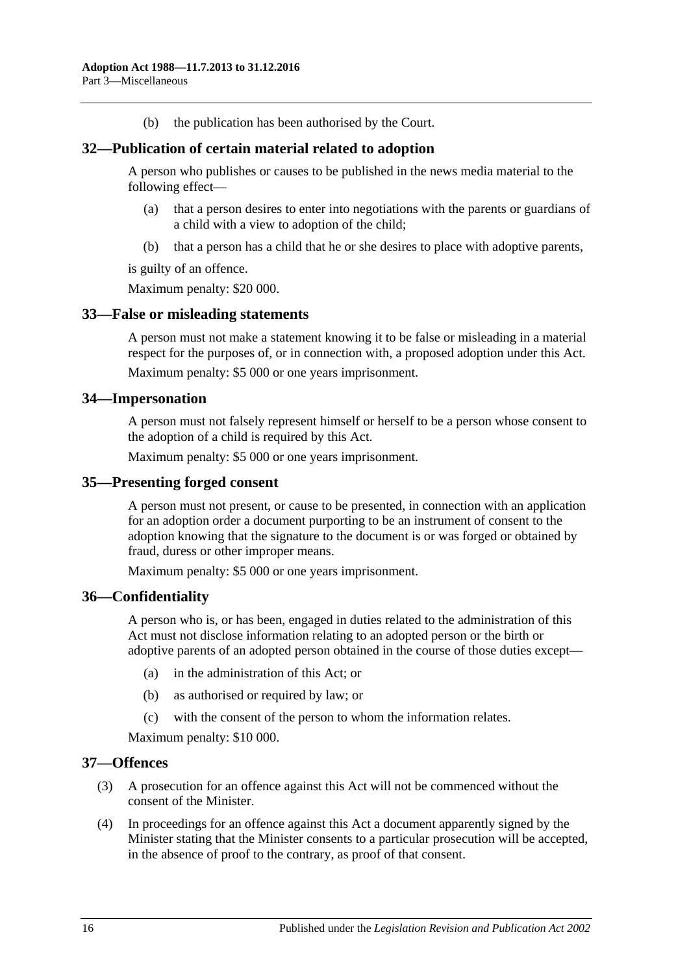(b) the publication has been authorised by the Court.

### <span id="page-15-0"></span>**32—Publication of certain material related to adoption**

A person who publishes or causes to be published in the news media material to the following effect—

- (a) that a person desires to enter into negotiations with the parents or guardians of a child with a view to adoption of the child;
- (b) that a person has a child that he or she desires to place with adoptive parents,

is guilty of an offence.

Maximum penalty: \$20 000.

### <span id="page-15-1"></span>**33—False or misleading statements**

A person must not make a statement knowing it to be false or misleading in a material respect for the purposes of, or in connection with, a proposed adoption under this Act. Maximum penalty: \$5 000 or one years imprisonment.

### <span id="page-15-2"></span>**34—Impersonation**

A person must not falsely represent himself or herself to be a person whose consent to the adoption of a child is required by this Act.

Maximum penalty: \$5 000 or one years imprisonment.

#### <span id="page-15-3"></span>**35—Presenting forged consent**

A person must not present, or cause to be presented, in connection with an application for an adoption order a document purporting to be an instrument of consent to the adoption knowing that the signature to the document is or was forged or obtained by fraud, duress or other improper means.

Maximum penalty: \$5 000 or one years imprisonment.

### <span id="page-15-4"></span>**36—Confidentiality**

A person who is, or has been, engaged in duties related to the administration of this Act must not disclose information relating to an adopted person or the birth or adoptive parents of an adopted person obtained in the course of those duties except—

- (a) in the administration of this Act; or
- (b) as authorised or required by law; or
- (c) with the consent of the person to whom the information relates.

Maximum penalty: \$10 000.

#### <span id="page-15-5"></span>**37—Offences**

- (3) A prosecution for an offence against this Act will not be commenced without the consent of the Minister.
- (4) In proceedings for an offence against this Act a document apparently signed by the Minister stating that the Minister consents to a particular prosecution will be accepted, in the absence of proof to the contrary, as proof of that consent.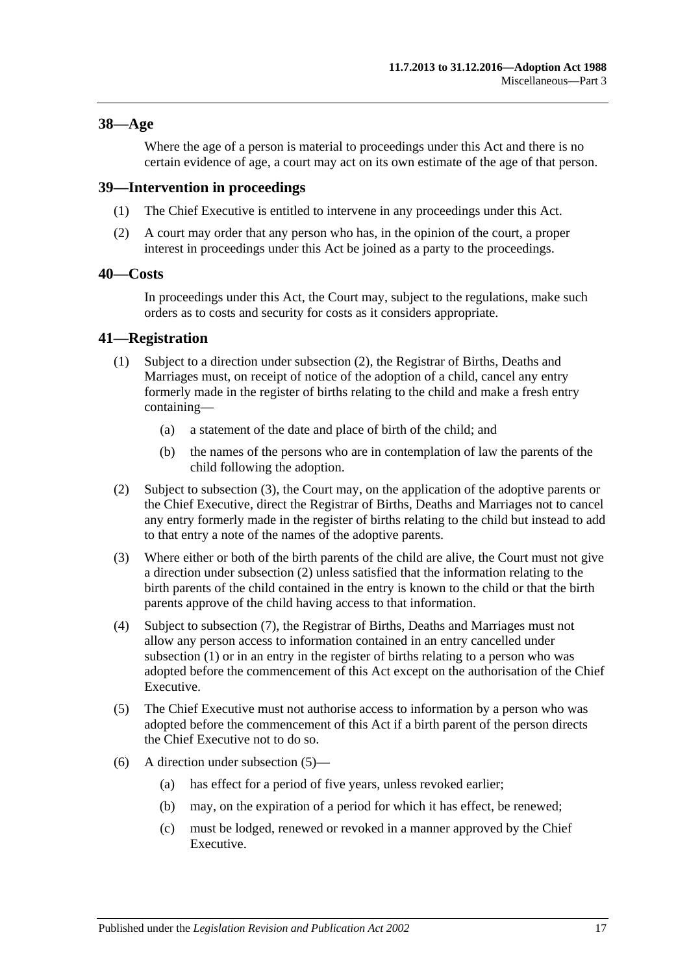### <span id="page-16-0"></span>**38—Age**

Where the age of a person is material to proceedings under this Act and there is no certain evidence of age, a court may act on its own estimate of the age of that person.

### <span id="page-16-1"></span>**39—Intervention in proceedings**

- (1) The Chief Executive is entitled to intervene in any proceedings under this Act.
- (2) A court may order that any person who has, in the opinion of the court, a proper interest in proceedings under this Act be joined as a party to the proceedings.

### <span id="page-16-2"></span>**40—Costs**

In proceedings under this Act, the Court may, subject to the regulations, make such orders as to costs and security for costs as it considers appropriate.

### <span id="page-16-6"></span><span id="page-16-3"></span>**41—Registration**

- (1) Subject to a direction under [subsection](#page-16-4) (2), the Registrar of Births, Deaths and Marriages must, on receipt of notice of the adoption of a child, cancel any entry formerly made in the register of births relating to the child and make a fresh entry containing—
	- (a) a statement of the date and place of birth of the child; and
	- (b) the names of the persons who are in contemplation of law the parents of the child following the adoption.
- <span id="page-16-4"></span>(2) Subject to [subsection](#page-16-5) (3), the Court may, on the application of the adoptive parents or the Chief Executive, direct the Registrar of Births, Deaths and Marriages not to cancel any entry formerly made in the register of births relating to the child but instead to add to that entry a note of the names of the adoptive parents.
- <span id="page-16-5"></span>(3) Where either or both of the birth parents of the child are alive, the Court must not give a direction under [subsection](#page-16-4) (2) unless satisfied that the information relating to the birth parents of the child contained in the entry is known to the child or that the birth parents approve of the child having access to that information.
- (4) Subject to [subsection](#page-17-1) (7), the Registrar of Births, Deaths and Marriages must not allow any person access to information contained in an entry cancelled under [subsection](#page-16-6) (1) or in an entry in the register of births relating to a person who was adopted before the commencement of this Act except on the authorisation of the Chief Executive.
- <span id="page-16-7"></span>(5) The Chief Executive must not authorise access to information by a person who was adopted before the commencement of this Act if a birth parent of the person directs the Chief Executive not to do so.
- (6) A direction under [subsection](#page-16-7) (5)—
	- (a) has effect for a period of five years, unless revoked earlier;
	- (b) may, on the expiration of a period for which it has effect, be renewed;
	- (c) must be lodged, renewed or revoked in a manner approved by the Chief Executive.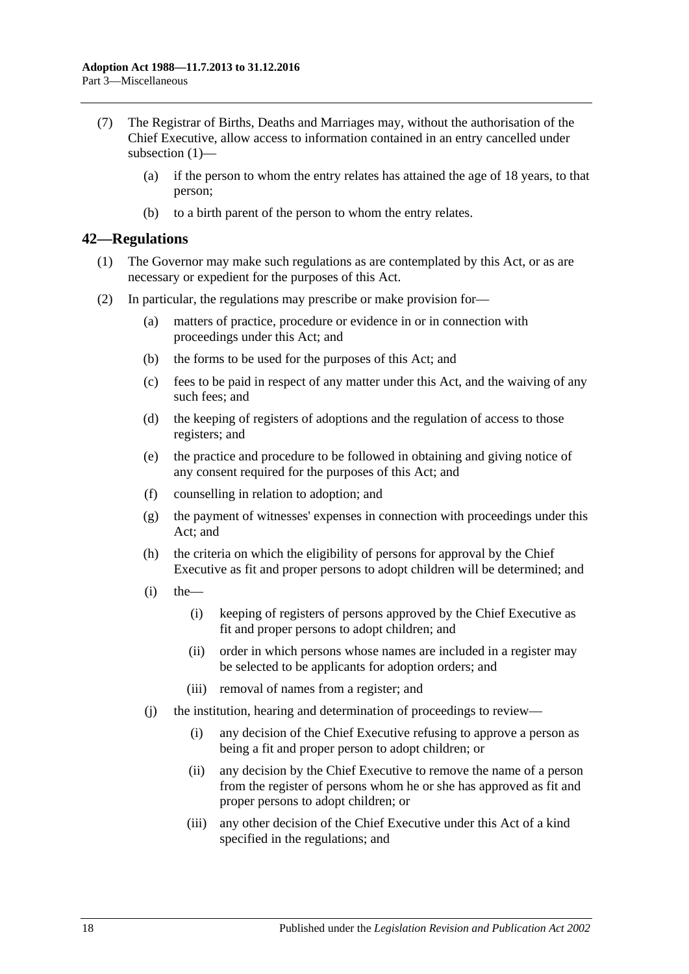- <span id="page-17-1"></span>(7) The Registrar of Births, Deaths and Marriages may, without the authorisation of the Chief Executive, allow access to information contained in an entry cancelled under [subsection](#page-16-6) (1)—
	- (a) if the person to whom the entry relates has attained the age of 18 years, to that person;
	- (b) to a birth parent of the person to whom the entry relates.

### <span id="page-17-0"></span>**42—Regulations**

- (1) The Governor may make such regulations as are contemplated by this Act, or as are necessary or expedient for the purposes of this Act.
- (2) In particular, the regulations may prescribe or make provision for—
	- (a) matters of practice, procedure or evidence in or in connection with proceedings under this Act; and
	- (b) the forms to be used for the purposes of this Act; and
	- (c) fees to be paid in respect of any matter under this Act, and the waiving of any such fees; and
	- (d) the keeping of registers of adoptions and the regulation of access to those registers; and
	- (e) the practice and procedure to be followed in obtaining and giving notice of any consent required for the purposes of this Act; and
	- (f) counselling in relation to adoption; and
	- (g) the payment of witnesses' expenses in connection with proceedings under this Act; and
	- (h) the criteria on which the eligibility of persons for approval by the Chief Executive as fit and proper persons to adopt children will be determined; and
	- $(i)$  the
		- (i) keeping of registers of persons approved by the Chief Executive as fit and proper persons to adopt children; and
		- (ii) order in which persons whose names are included in a register may be selected to be applicants for adoption orders; and
		- (iii) removal of names from a register; and
	- (j) the institution, hearing and determination of proceedings to review—
		- (i) any decision of the Chief Executive refusing to approve a person as being a fit and proper person to adopt children; or
		- (ii) any decision by the Chief Executive to remove the name of a person from the register of persons whom he or she has approved as fit and proper persons to adopt children; or
		- (iii) any other decision of the Chief Executive under this Act of a kind specified in the regulations; and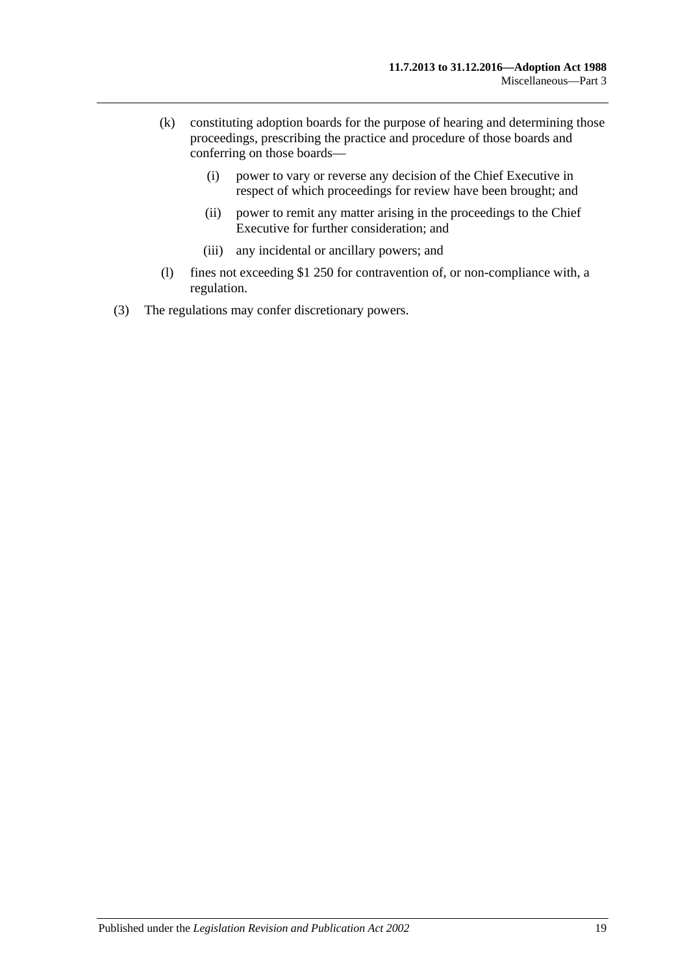- (k) constituting adoption boards for the purpose of hearing and determining those proceedings, prescribing the practice and procedure of those boards and conferring on those boards—
	- (i) power to vary or reverse any decision of the Chief Executive in respect of which proceedings for review have been brought; and
	- (ii) power to remit any matter arising in the proceedings to the Chief Executive for further consideration; and
	- (iii) any incidental or ancillary powers; and
- (l) fines not exceeding \$1 250 for contravention of, or non-compliance with, a regulation.
- (3) The regulations may confer discretionary powers.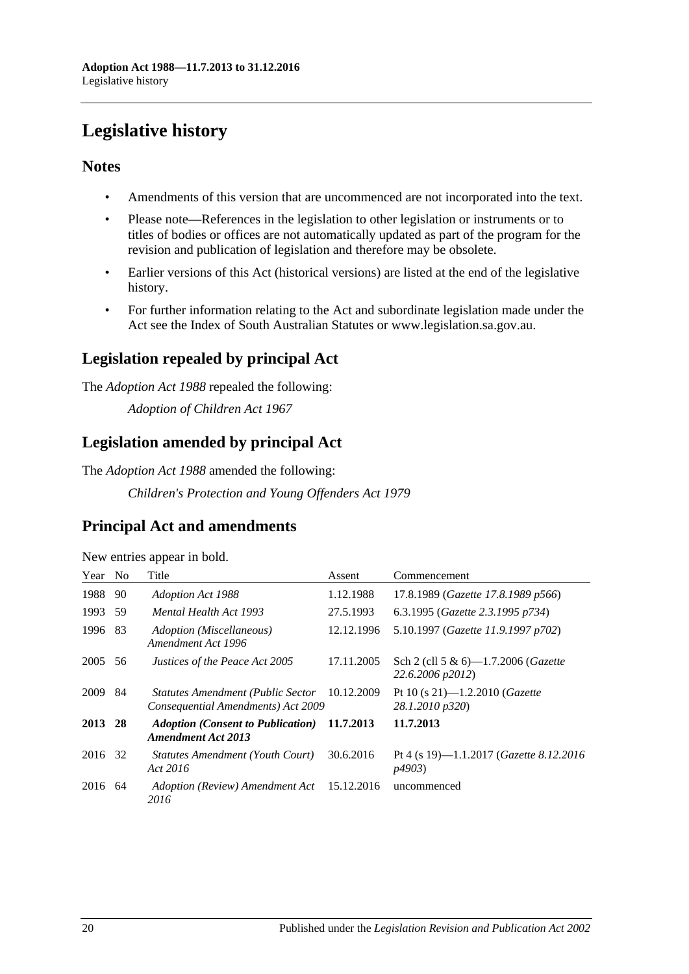# <span id="page-19-0"></span>**Legislative history**

## **Notes**

- Amendments of this version that are uncommenced are not incorporated into the text.
- Please note—References in the legislation to other legislation or instruments or to titles of bodies or offices are not automatically updated as part of the program for the revision and publication of legislation and therefore may be obsolete.
- Earlier versions of this Act (historical versions) are listed at the end of the legislative history.
- For further information relating to the Act and subordinate legislation made under the Act see the Index of South Australian Statutes or www.legislation.sa.gov.au.

# **Legislation repealed by principal Act**

The *Adoption Act 1988* repealed the following:

*Adoption of Children Act 1967*

# **Legislation amended by principal Act**

The *Adoption Act 1988* amended the following:

*Children's Protection and Young Offenders Act 1979*

# **Principal Act and amendments**

| Year | N <sub>0</sub> | Title                                                                          | Assent     | Commencement                                                      |
|------|----------------|--------------------------------------------------------------------------------|------------|-------------------------------------------------------------------|
| 1988 | 90             | <b>Adoption Act 1988</b>                                                       | 1.12.1988  | 17.8.1989 (Gazette 17.8.1989 p566)                                |
| 1993 | .59            | Mental Health Act 1993                                                         | 27.5.1993  | 6.3.1995 (Gazette 2.3.1995 p734)                                  |
| 1996 | 83             | Adoption (Miscellaneous)<br>Amendment Act 1996                                 | 12.12.1996 | 5.10.1997 (Gazette 11.9.1997 p702)                                |
| 2005 | 56             | Justices of the Peace Act 2005                                                 | 17.11.2005 | Sch 2 (cll 5 & 6)-1.7.2006 ( <i>Gazette</i><br>22.6.2006 p2012)   |
| 2009 | 84             | <b>Statutes Amendment (Public Sector</b><br>Consequential Amendments) Act 2009 | 10.12.2009 | Pt 10 (s 21)-1.2.2010 (Gazette<br>28.1.2010 p320)                 |
| 2013 | 28             | <b>Adoption (Consent to Publication)</b><br><b>Amendment Act 2013</b>          | 11.7.2013  | 11.7.2013                                                         |
| 2016 | 32             | Statutes Amendment (Youth Court)<br>Act 2016                                   | 30.6.2016  | Pt 4 (s 19)—1.1.2017 ( <i>Gazette 8.12.2016</i><br><i>p4903</i> ) |
| 2016 | 64             | Adoption (Review) Amendment Act<br>2016                                        | 15.12.2016 | uncommenced                                                       |

New entries appear in bold.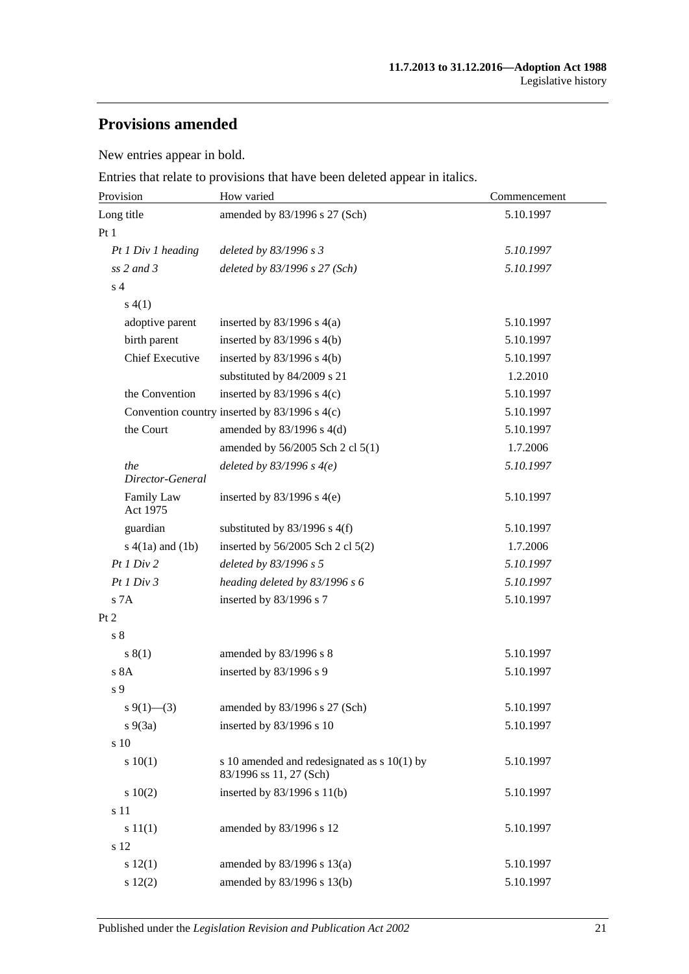# **Provisions amended**

New entries appear in bold.

Entries that relate to provisions that have been deleted appear in italics.

| Provision               | How varied                                                               | Commencement |  |
|-------------------------|--------------------------------------------------------------------------|--------------|--|
| Long title              | amended by 83/1996 s 27 (Sch)                                            | 5.10.1997    |  |
| Pt 1                    |                                                                          |              |  |
| Pt 1 Div 1 heading      | deleted by 83/1996 s 3                                                   | 5.10.1997    |  |
| $ss$ 2 and 3            | deleted by $83/1996$ s $27$ (Sch)                                        | 5.10.1997    |  |
| s <sub>4</sub>          |                                                                          |              |  |
| s(4(1))                 |                                                                          |              |  |
| adoptive parent         | inserted by $83/1996$ s $4(a)$                                           | 5.10.1997    |  |
| birth parent            | inserted by $83/1996$ s 4(b)                                             | 5.10.1997    |  |
| <b>Chief Executive</b>  | inserted by $83/1996$ s $4(b)$                                           | 5.10.1997    |  |
|                         | substituted by 84/2009 s 21                                              | 1.2.2010     |  |
| the Convention          | inserted by $83/1996$ s 4(c)                                             | 5.10.1997    |  |
|                         | Convention country inserted by 83/1996 s 4(c)                            | 5.10.1997    |  |
| the Court               | amended by $83/1996$ s $4(d)$                                            | 5.10.1997    |  |
|                         | amended by 56/2005 Sch 2 cl 5(1)                                         | 1.7.2006     |  |
| the<br>Director-General | deleted by $83/1996$ s $4(e)$                                            | 5.10.1997    |  |
| Family Law<br>Act 1975  | inserted by $83/1996$ s 4(e)                                             | 5.10.1997    |  |
| guardian                | substituted by 83/1996 s 4(f)                                            | 5.10.1997    |  |
| $s(4(1a)$ and $(1b)$    | inserted by $56/2005$ Sch 2 cl $5(2)$                                    | 1.7.2006     |  |
| Pt 1 Div 2              | deleted by 83/1996 s 5                                                   | 5.10.1997    |  |
| Pt1 Div3                | heading deleted by 83/1996 s 6                                           | 5.10.1997    |  |
| s 7A                    | inserted by 83/1996 s 7                                                  | 5.10.1997    |  |
| Pt 2                    |                                                                          |              |  |
| s <sub>8</sub>          |                                                                          |              |  |
| s(1)                    | amended by 83/1996 s 8                                                   | 5.10.1997    |  |
| s 8A                    | inserted by 83/1996 s 9                                                  | 5.10.1997    |  |
| s 9                     |                                                                          |              |  |
| $s \ 9(1)$ (3)          | amended by 83/1996 s 27 (Sch)                                            | 5.10.1997    |  |
| $s\ 9(3a)$              | inserted by 83/1996 s 10                                                 | 5.10.1997    |  |
| s 10                    |                                                                          |              |  |
| s 10(1)                 | s 10 amended and redesignated as $s$ 10(1) by<br>83/1996 ss 11, 27 (Sch) | 5.10.1997    |  |
| 10(2)                   | inserted by 83/1996 s 11(b)                                              | 5.10.1997    |  |
| s 11                    |                                                                          |              |  |
| s 11(1)                 | amended by 83/1996 s 12                                                  | 5.10.1997    |  |
| s 12                    |                                                                          |              |  |
| s 12(1)                 | amended by 83/1996 s 13(a)                                               | 5.10.1997    |  |
| s 12(2)                 | amended by 83/1996 s 13(b)                                               | 5.10.1997    |  |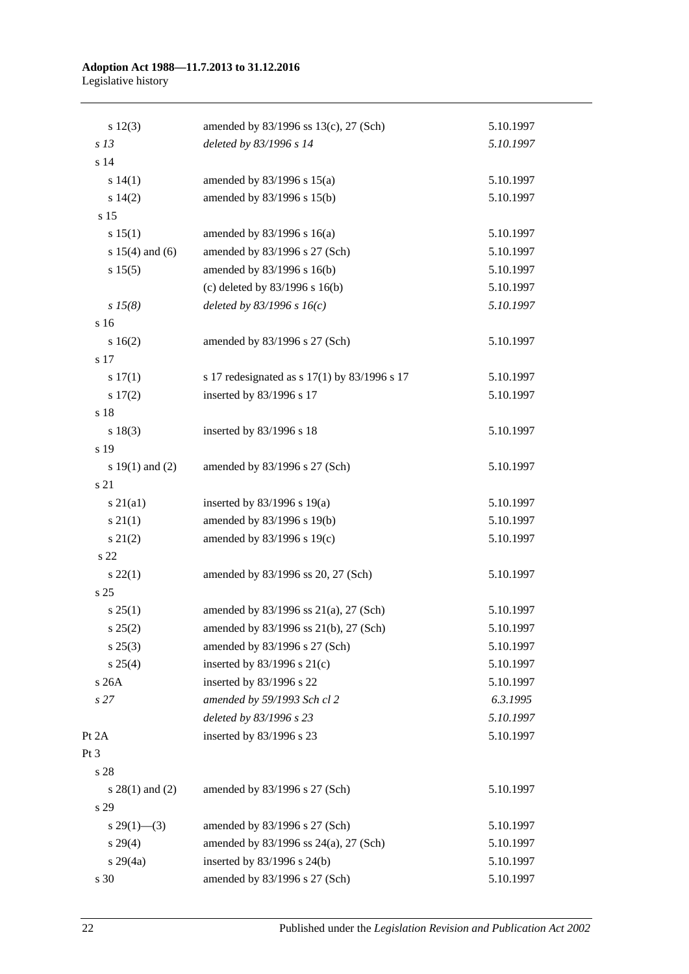#### **Adoption Act 1988—11.7.2013 to 31.12.2016** Legislative history

| $s\ 12(3)$          | amended by 83/1996 ss 13(c), 27 (Sch)        | 5.10.1997 |
|---------------------|----------------------------------------------|-----------|
| s <sub>13</sub>     | deleted by 83/1996 s 14                      | 5.10.1997 |
| s 14                |                                              |           |
| s 14(1)             | amended by $83/1996$ s $15(a)$               | 5.10.1997 |
| s 14(2)             | amended by 83/1996 s 15(b)                   | 5.10.1997 |
| s 15                |                                              |           |
| s 15(1)             | amended by $83/1996$ s $16(a)$               | 5.10.1997 |
| s $15(4)$ and $(6)$ | amended by 83/1996 s 27 (Sch)                | 5.10.1997 |
| s 15(5)             | amended by 83/1996 s 16(b)                   | 5.10.1997 |
|                     | (c) deleted by $83/1996$ s $16(b)$           | 5.10.1997 |
| $s\,15(8)$          | deleted by $83/1996 s 16(c)$                 | 5.10.1997 |
| s 16                |                                              |           |
| s 16(2)             | amended by 83/1996 s 27 (Sch)                | 5.10.1997 |
| s 17                |                                              |           |
| s 17(1)             | s 17 redesignated as s 17(1) by 83/1996 s 17 | 5.10.1997 |
| s 17(2)             | inserted by 83/1996 s 17                     | 5.10.1997 |
| s 18                |                                              |           |
| s 18(3)             | inserted by 83/1996 s 18                     | 5.10.1997 |
| s 19                |                                              |           |
| s $19(1)$ and $(2)$ | amended by 83/1996 s 27 (Sch)                | 5.10.1997 |
| s 21                |                                              |           |
| $s\ 21(a1)$         | inserted by $83/1996$ s $19(a)$              | 5.10.1997 |
| s 21(1)             | amended by 83/1996 s 19(b)                   | 5.10.1997 |
| $s\ 21(2)$          | amended by 83/1996 s 19(c)                   | 5.10.1997 |
| s 22                |                                              |           |
| $s\,22(1)$          | amended by 83/1996 ss 20, 27 (Sch)           | 5.10.1997 |
| s 25                |                                              |           |
| s 25(1)             | amended by 83/1996 ss 21(a), 27 (Sch)        | 5.10.1997 |
| $s\,25(2)$          | amended by 83/1996 ss 21(b), 27 (Sch)        | 5.10.1997 |
| $s\,25(3)$          | amended by 83/1996 s 27 (Sch)                | 5.10.1997 |
| $s \; 25(4)$        | inserted by 83/1996 s 21(c)                  | 5.10.1997 |
| s 26A               | inserted by 83/1996 s 22                     | 5.10.1997 |
| s27                 | amended by 59/1993 Sch cl 2                  | 6.3.1995  |
|                     | deleted by 83/1996 s 23                      | 5.10.1997 |
| Pt 2A               | inserted by 83/1996 s 23                     | 5.10.1997 |
| Pt 3                |                                              |           |
| s 28                |                                              |           |
| $s$ 28(1) and (2)   | amended by 83/1996 s 27 (Sch)                | 5.10.1997 |
| s 29                |                                              |           |
| $s\,29(1)$ —(3)     | amended by 83/1996 s 27 (Sch)                | 5.10.1997 |
| s 29(4)             | amended by 83/1996 ss 24(a), 27 (Sch)        | 5.10.1997 |
| $s\ 29(4a)$         | inserted by 83/1996 s 24(b)                  | 5.10.1997 |
| s 30                | amended by 83/1996 s 27 (Sch)                | 5.10.1997 |